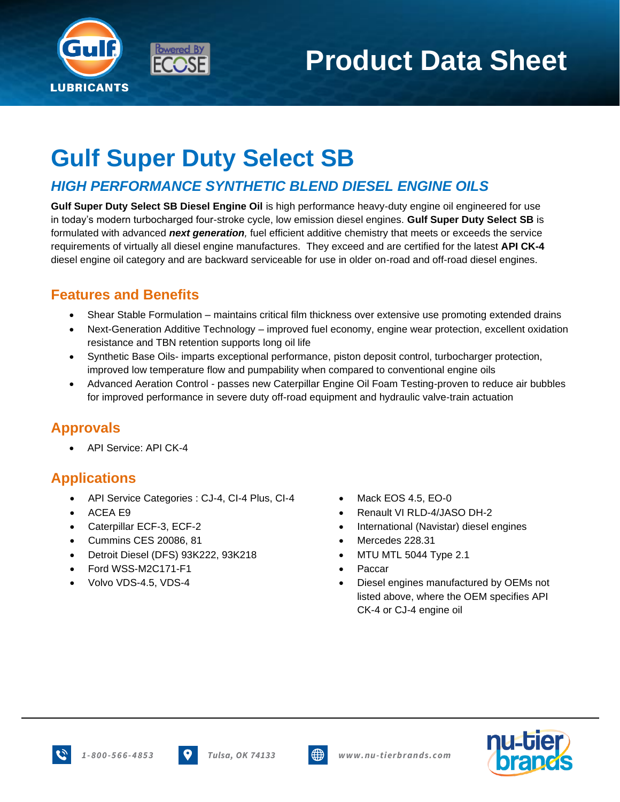

# **Product Data Sheet**

## **Gulf Super Duty Select SB**

#### *HIGH PERFORMANCE SYNTHETIC BLEND DIESEL ENGINE OILS*

**Gulf Super Duty Select SB Diesel Engine Oil** is high performance heavy-duty engine oil engineered for use in today's modern turbocharged four-stroke cycle, low emission diesel engines. **Gulf Super Duty Select SB** is formulated with advanced *next generation,* fuel efficient additive chemistry that meets or exceeds the service requirements of virtually all diesel engine manufactures.They exceed and are certified for the latest **API CK-4** diesel engine oil category and are backward serviceable for use in older on-road and off-road diesel engines.

#### **Features and Benefits**

- Shear Stable Formulation maintains critical film thickness over extensive use promoting extended drains
- Next-Generation Additive Technology improved fuel economy, engine wear protection, excellent oxidation resistance and TBN retention supports long oil life
- Synthetic Base Oils- imparts exceptional performance, piston deposit control, turbocharger protection, improved low temperature flow and pumpability when compared to conventional engine oils
- Advanced Aeration Control passes new Caterpillar Engine Oil Foam Testing-proven to reduce air bubbles for improved performance in severe duty off-road equipment and hydraulic valve-train actuation

#### **Approvals**

• API Service: API CK-4

#### **Applications**

- API Service Categories : CJ-4, CI-4 Plus, CI-4 Mack EOS 4.5, EO-0
- 
- 
- Cummins CES 20086, 81 Mercedes 228.31
- Detroit Diesel (DFS) 93K222, 93K218 MTU MTL 5044 Type 2.1
- Ford WSS-M2C171-F1 Paccar
- 
- 
- ACEA E9 Renault VI RLD-4/JASO DH-2
- Caterpillar ECF-3, ECF-2 International (Navistar) diesel engines
	-
	-
	-
- Volvo VDS-4.5, VDS-4 Diesel engines manufactured by OEMs not listed above, where the OEM specifies API CK-4 or CJ-4 engine oil